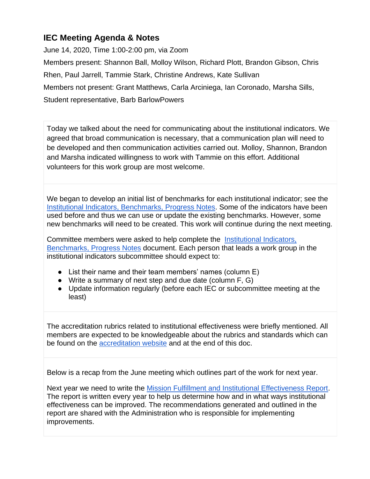## **IEC Meeting Agenda & Notes**

June 14, 2020, Time 1:00-2:00 pm, via Zoom Members present: Shannon Ball, Molloy Wilson, Richard Plott, Brandon Gibson, Chris Rhen, Paul Jarrell, Tammie Stark, Christine Andrews, Kate Sullivan Members not present: Grant Matthews, Carla Arciniega, Ian Coronado, Marsha Sills, Student representative, Barb BarlowPowers

Today we talked about the need for communicating about the institutional indicators. We agreed that broad communication is necessary, that a communication plan will need to be developed and then communication activities carried out. Molloy, Shannon, Brandon and Marsha indicated willingness to work with Tammie on this effort. Additional volunteers for this work group are most welcome.

We began to develop an initial list of benchmarks for each institutional indicator; see the [Institutional Indicators, Benchmarks, Progress Notes.](https://docs.google.com/spreadsheets/d/1UW0Wcdbp9_q70ITxaJXYobOL9W6ggEqS58jy3bphmjg/edit#gid=0) Some of the indicators have been used before and thus we can use or update the existing benchmarks. However, some new benchmarks will need to be created. This work will continue during the next meeting.

Committee members were asked to help complete the [Institutional Indicators,](https://docs.google.com/spreadsheets/d/1UW0Wcdbp9_q70ITxaJXYobOL9W6ggEqS58jy3bphmjg/edit#gid=0)  [Benchmarks, Progress Notes](https://docs.google.com/spreadsheets/d/1UW0Wcdbp9_q70ITxaJXYobOL9W6ggEqS58jy3bphmjg/edit#gid=0) document. Each person that leads a work group in the institutional indicators subcommittee should expect to:

- List their name and their team members' names (column E)
- Write a summary of next step and due date (column F, G)
- Update information regularly (before each IEC or subcommittee meeting at the least)

The accreditation rubrics related to institutional effectiveness were briefly mentioned. All members are expected to be knowledgeable about the rubrics and standards which can be found on the [accreditation website](https://www.lanecc.edu/accreditation/nwccu) and at the end of this doc.

Below is a recap from the June meeting which outlines part of the work for next year.

Next year we need to write the [Mission Fulfillment and Institutional Effectiveness Report.](https://www.lanecc.edu/pie/institutional-effectiveness-reports) The report is written every year to help us determine how and in what ways institutional effectiveness can be improved. The recommendations generated and outlined in the report are shared with the Administration who is responsible for implementing improvements.